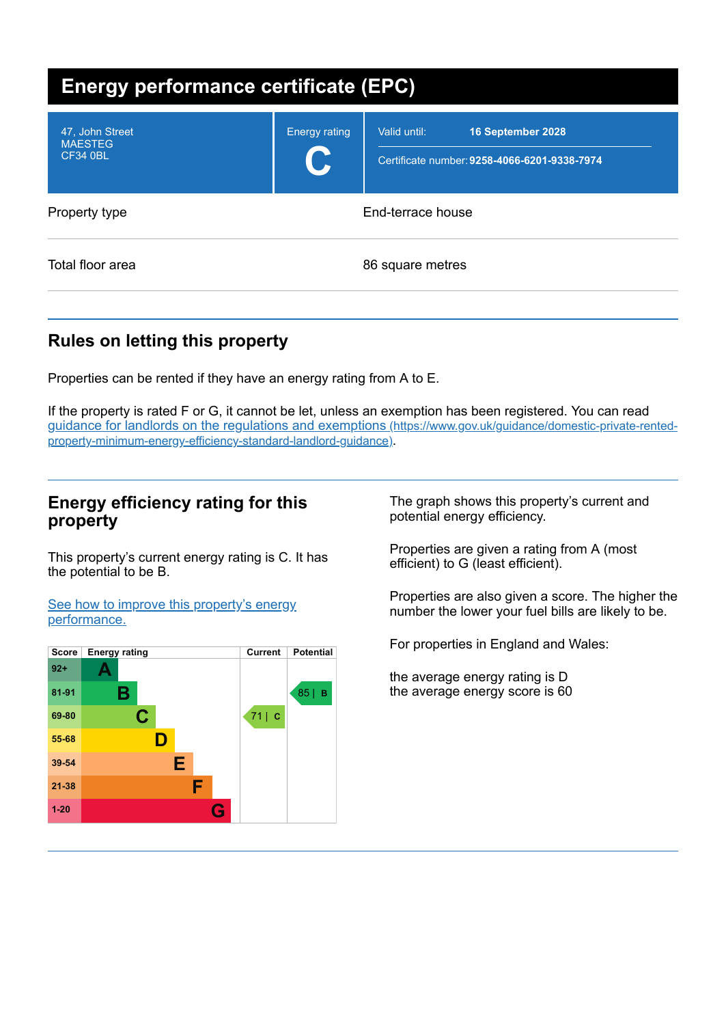| <b>Energy performance certificate (EPC)</b>          |                      |                                                                                   |
|------------------------------------------------------|----------------------|-----------------------------------------------------------------------------------|
| 47, John Street<br><b>MAESTEG</b><br><b>CF34 0BL</b> | <b>Energy rating</b> | Valid until:<br>16 September 2028<br>Certificate number: 9258-4066-6201-9338-7974 |
| Property type                                        | End-terrace house    |                                                                                   |
| Total floor area                                     |                      | 86 square metres                                                                  |

# **Rules on letting this property**

Properties can be rented if they have an energy rating from A to E.

If the property is rated F or G, it cannot be let, unless an exemption has been registered. You can read guidance for landlords on the regulations and exemptions (https://www.gov.uk/guidance/domestic-private-rented[property-minimum-energy-efficiency-standard-landlord-guidance\)](https://www.gov.uk/guidance/domestic-private-rented-property-minimum-energy-efficiency-standard-landlord-guidance).

### **Energy efficiency rating for this property**

This property's current energy rating is C. It has the potential to be B.

See how to improve this property's energy [performance.](#page-2-0)



The graph shows this property's current and potential energy efficiency.

Properties are given a rating from A (most efficient) to G (least efficient).

Properties are also given a score. The higher the number the lower your fuel bills are likely to be.

For properties in England and Wales:

the average energy rating is D the average energy score is 60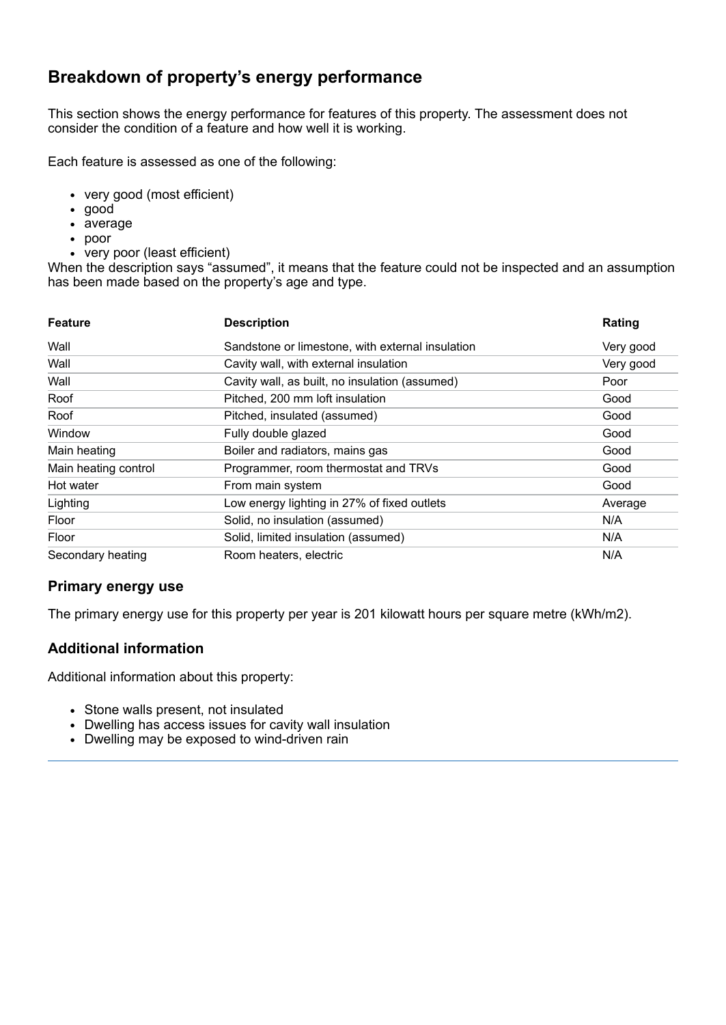# **Breakdown of property's energy performance**

This section shows the energy performance for features of this property. The assessment does not consider the condition of a feature and how well it is working.

Each feature is assessed as one of the following:

- very good (most efficient)
- good
- average
- poor
- very poor (least efficient)

When the description says "assumed", it means that the feature could not be inspected and an assumption has been made based on the property's age and type.

| <b>Feature</b>       | <b>Description</b>                               | Rating    |
|----------------------|--------------------------------------------------|-----------|
| Wall                 | Sandstone or limestone, with external insulation | Very good |
| Wall                 | Cavity wall, with external insulation            | Very good |
| Wall                 | Cavity wall, as built, no insulation (assumed)   | Poor      |
| Roof                 | Pitched, 200 mm loft insulation                  | Good      |
| Roof                 | Pitched, insulated (assumed)                     | Good      |
| Window               | Fully double glazed                              | Good      |
| Main heating         | Boiler and radiators, mains gas                  | Good      |
| Main heating control | Programmer, room thermostat and TRVs             | Good      |
| Hot water            | From main system                                 | Good      |
| Lighting             | Low energy lighting in 27% of fixed outlets      | Average   |
| Floor                | Solid, no insulation (assumed)                   | N/A       |
| Floor                | Solid, limited insulation (assumed)              | N/A       |
| Secondary heating    | Room heaters, electric                           | N/A       |

### **Primary energy use**

The primary energy use for this property per year is 201 kilowatt hours per square metre (kWh/m2).

#### **Additional information**

Additional information about this property:

- Stone walls present, not insulated
- Dwelling has access issues for cavity wall insulation
- Dwelling may be exposed to wind-driven rain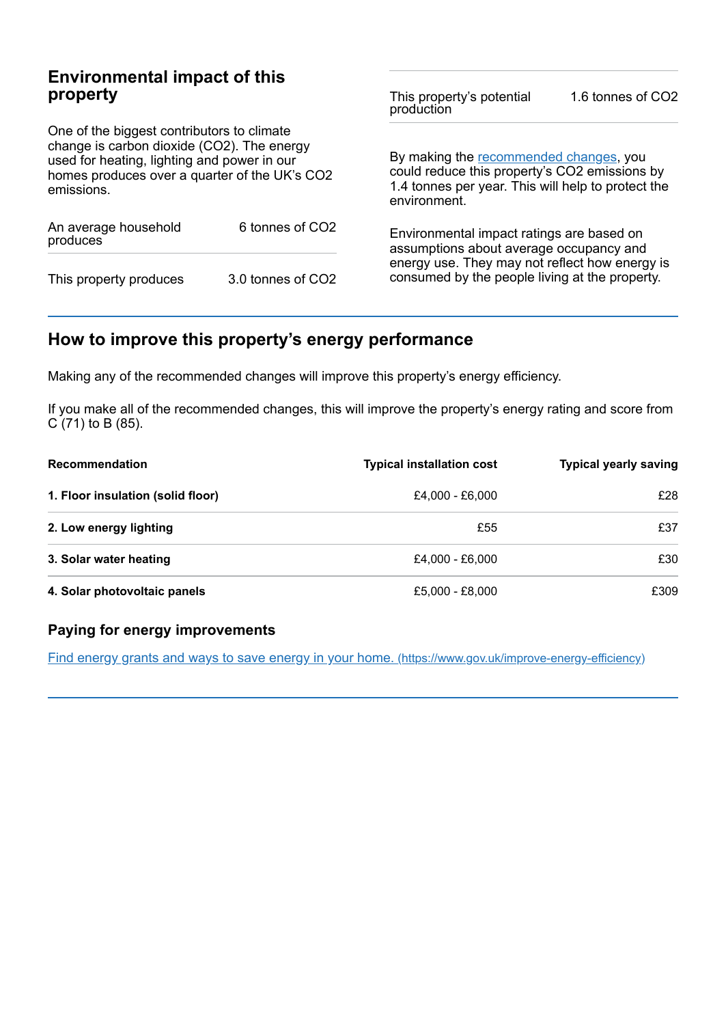# **Environmental impact of this property**

One of the biggest contributors to climate change is carbon dioxide (CO2). The energy used for heating, lighting and power in our homes produces over a quarter of the UK's CO2 emissions.

| An average household<br>produces | 6 tonnes of CO2   |  |
|----------------------------------|-------------------|--|
| This property produces           | 3.0 tonnes of CO2 |  |

This property's potential production 1.6 tonnes of CO2

By making the [recommended](#page-2-0) changes, you could reduce this property's CO2 emissions by 1.4 tonnes per year. This will help to protect the environment.

Environmental impact ratings are based on assumptions about average occupancy and energy use. They may not reflect how energy is consumed by the people living at the property.

# <span id="page-2-0"></span>**How to improve this property's energy performance**

Making any of the recommended changes will improve this property's energy efficiency.

If you make all of the recommended changes, this will improve the property's energy rating and score from C (71) to B (85).

| <b>Recommendation</b>             | <b>Typical installation cost</b> | <b>Typical yearly saving</b> |
|-----------------------------------|----------------------------------|------------------------------|
| 1. Floor insulation (solid floor) | £4.000 - £6.000                  | £28                          |
| 2. Low energy lighting            | £55                              | £37                          |
| 3. Solar water heating            | £4.000 - £6.000                  | £30                          |
| 4. Solar photovoltaic panels      | £5,000 - £8,000                  | £309                         |

### **Paying for energy improvements**

Find energy grants and ways to save energy in your home. [\(https://www.gov.uk/improve-energy-efficiency\)](https://www.gov.uk/improve-energy-efficiency)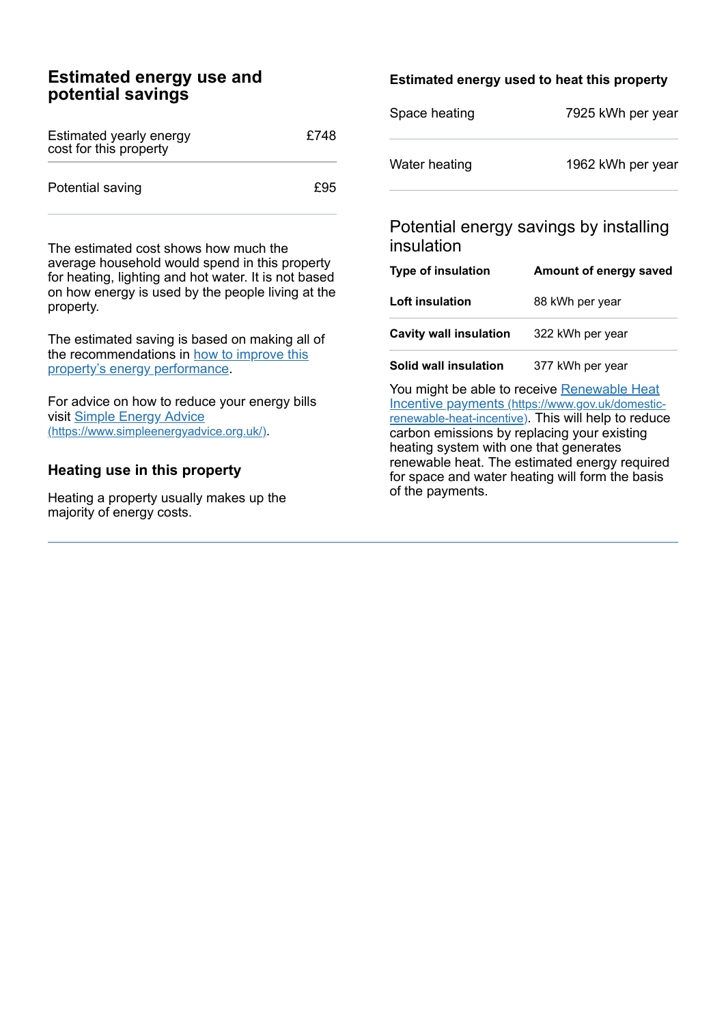## **Estimated energy use and potential savings**

| Estimated yearly energy<br>cost for this property | £748 |
|---------------------------------------------------|------|
| Potential saving                                  | £95  |

The estimated cost shows how much the average household would spend in this property for heating, lighting and hot water. It is not based on how energy is used by the people living at the property.

The estimated saving is based on making all of the [recommendations](#page-2-0) in how to improve this property's energy performance.

For advice on how to reduce your energy bills visit Simple Energy Advice [\(https://www.simpleenergyadvice.org.uk/\)](https://www.simpleenergyadvice.org.uk/).

### **Heating use in this property**

Heating a property usually makes up the majority of energy costs.

### **Estimated energy used to heat this property**

| Space heating | 7925 kWh per year |
|---------------|-------------------|
| Water heating | 1962 kWh per year |

# Potential energy savings by installing insulation

| <b>Type of insulation</b>     | Amount of energy saved |
|-------------------------------|------------------------|
| <b>Loft insulation</b>        | 88 kWh per year        |
| <b>Cavity wall insulation</b> | 322 kWh per year       |

**Solid wall insulation** 377 kWh per year

You might be able to receive Renewable Heat Incentive payments [\(https://www.gov.uk/domestic](https://www.gov.uk/domestic-renewable-heat-incentive)renewable-heat-incentive). This will help to reduce carbon emissions by replacing your existing heating system with one that generates renewable heat. The estimated energy required for space and water heating will form the basis of the payments.